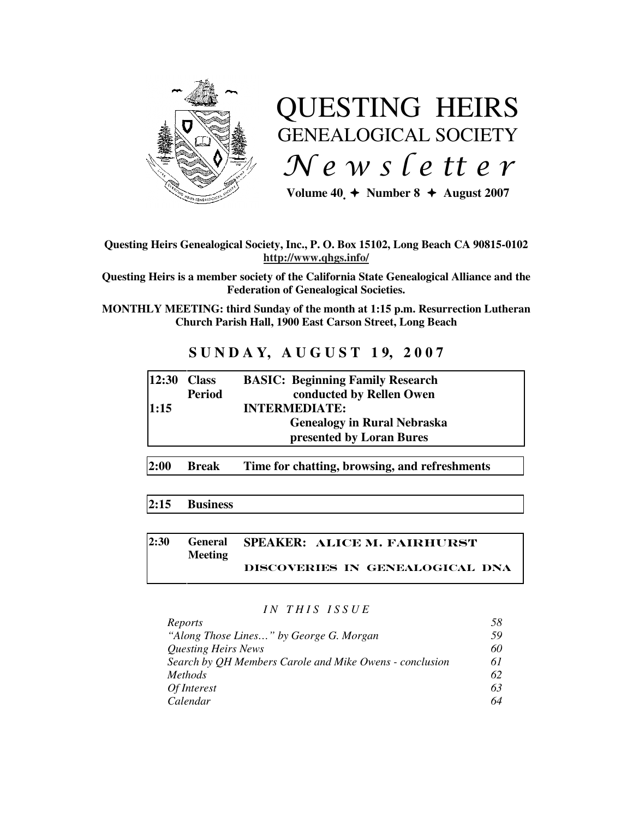

# QUESTING HEIRS GENEALOGICAL SOCIETY  $Ne$  w s letter

Volume  $40 \div \text{Number } 8 \div \text{August } 2007$ 

#### **Questing Heirs Genealogical Society, Inc., P. O. Box 15102, Long Beach CA 90815-0102 http://www.qhgs.info/**

**Questing Heirs is a member society of the California State Genealogical Alliance and the Federation of Genealogical Societies.** 

**MONTHLY MEETING: third Sunday of the month at 1:15 p.m. Resurrection Lutheran Church Parish Hall, 1900 East Carson Street, Long Beach** 

## **S U N D A Y, A U G U S T 1 9, 2 0 0 7**

| $ 12:30$ Class |               | <b>BASIC: Beginning Family Research</b> |
|----------------|---------------|-----------------------------------------|
|                | <b>Period</b> | conducted by Rellen Owen                |
| 1:15           |               | <b>INTERMEDIATE:</b>                    |
|                |               | <b>Genealogy in Rural Nebraska</b>      |
|                |               | presented by Loran Bures                |
|                |               |                                         |

**2:00 Break Time for chatting, browsing, and refreshments** 

## **2:15 Business**

#### **2:30 General Meeting SPEAKER:** Alice M. Fairhurst Discoveries in Genealogical dna

#### *I N T H I S I S S U E*

| Reports                                                 | 58  |
|---------------------------------------------------------|-----|
| "Along Those Lines" by George G. Morgan                 | .59 |
| <b>Questing Heirs News</b>                              | 60  |
| Search by QH Members Carole and Mike Owens - conclusion | 61  |
| <i>Methods</i>                                          | 62  |
| Of Interest                                             | 63  |
| Calendar                                                | 64  |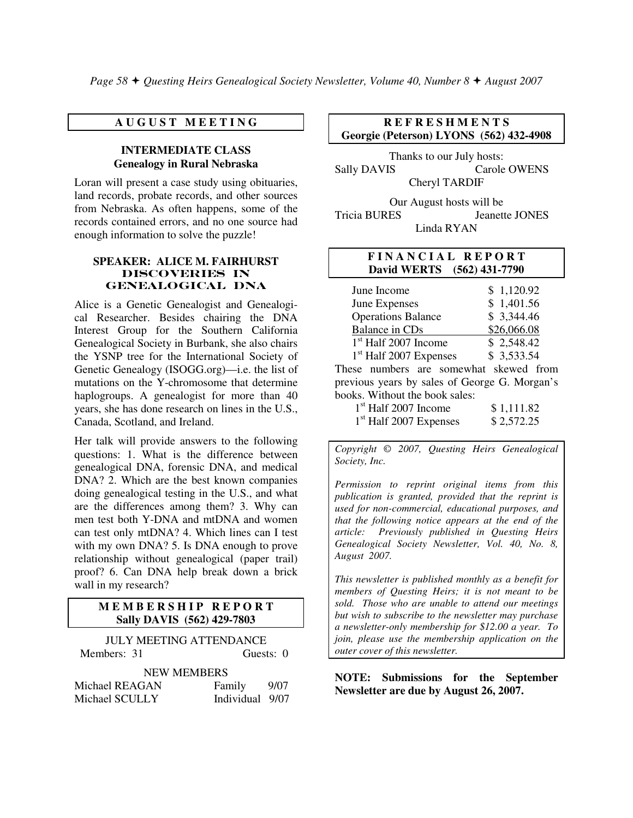#### **A U G U S T M E E T I N G**

#### **INTERMEDIATE CLASS Genealogy in Rural Nebraska**

Loran will present a case study using obituaries, land records, probate records, and other sources from Nebraska. As often happens, some of the records contained errors, and no one source had enough information to solve the puzzle!

#### **SPEAKER: ALICE M. FAIRHURST**  DIScOVERIES IN Genealogical dna

Alice is a Genetic Genealogist and Genealogical Researcher. Besides chairing the DNA Interest Group for the Southern California Genealogical Society in Burbank, she also chairs the YSNP tree for the International Society of Genetic Genealogy (ISOGG.org)—i.e. the list of mutations on the Y-chromosome that determine haplogroups. A genealogist for more than 40 years, she has done research on lines in the U.S., Canada, Scotland, and Ireland.

Her talk will provide answers to the following questions: 1. What is the difference between genealogical DNA, forensic DNA, and medical DNA? 2. Which are the best known companies doing genealogical testing in the U.S., and what are the differences among them? 3. Why can men test both Y-DNA and mtDNA and women can test only mtDNA? 4. Which lines can I test with my own DNA? 5. Is DNA enough to prove relationship without genealogical (paper trail) proof? 6. Can DNA help break down a brick wall in my research?

#### **MEMBERSHIP REPORT Sally DAVIS (562) 429-7803**

| <b>IULY MEETING ATTENDANCE</b> |                 |           |  |  |  |
|--------------------------------|-----------------|-----------|--|--|--|
| Members: 31                    |                 | Guests: 0 |  |  |  |
| <b>NEW MEMBERS</b>             |                 |           |  |  |  |
| Michael REAGAN                 | Family          | 9/07      |  |  |  |
| Michael SCULLY                 | Individual 9/07 |           |  |  |  |

#### **R E F R E S H M E N T S Georgie (Peterson) LYONS (562) 432-4908**

Thanks to our July hosts: Sally DAVIS Carole OWENS Cheryl TARDIF

Our August hosts will be Tricia BURES Jeanette JONES Linda RYAN

#### **F I N A N C I A L R E P O R T David WERTS (562) 431-7790**

| \$1,120.92                                    |  |  |  |  |
|-----------------------------------------------|--|--|--|--|
| \$1,401.56                                    |  |  |  |  |
| \$3,344.46                                    |  |  |  |  |
| \$26,066.08                                   |  |  |  |  |
| \$2,548.42                                    |  |  |  |  |
| \$3,533.54                                    |  |  |  |  |
| These numbers are somewhat skewed from        |  |  |  |  |
| previous years by sales of George G. Morgan's |  |  |  |  |
| books. Without the book sales:                |  |  |  |  |
|                                               |  |  |  |  |

| $1st$ Half 2007 Income   | \$1,111.82 |
|--------------------------|------------|
| $1st$ Half 2007 Expenses | \$2,572.25 |

*Copyright* © *2007, Questing Heirs Genealogical Society, Inc.* 

*Permission to reprint original items from this publication is granted, provided that the reprint is used for non-commercial, educational purposes, and that the following notice appears at the end of the article: Previously published in Questing Heirs Genealogical Society Newsletter, Vol. 40, No. 8, August 2007.* 

*This newsletter is published monthly as a benefit for members of Questing Heirs; it is not meant to be sold. Those who are unable to attend our meetings but wish to subscribe to the newsletter may purchase a newsletter-only membership for \$12.00 a year. To join, please use the membership application on the outer cover of this newsletter.* 

**NOTE: Submissions for the September Newsletter are due by August 26, 2007.**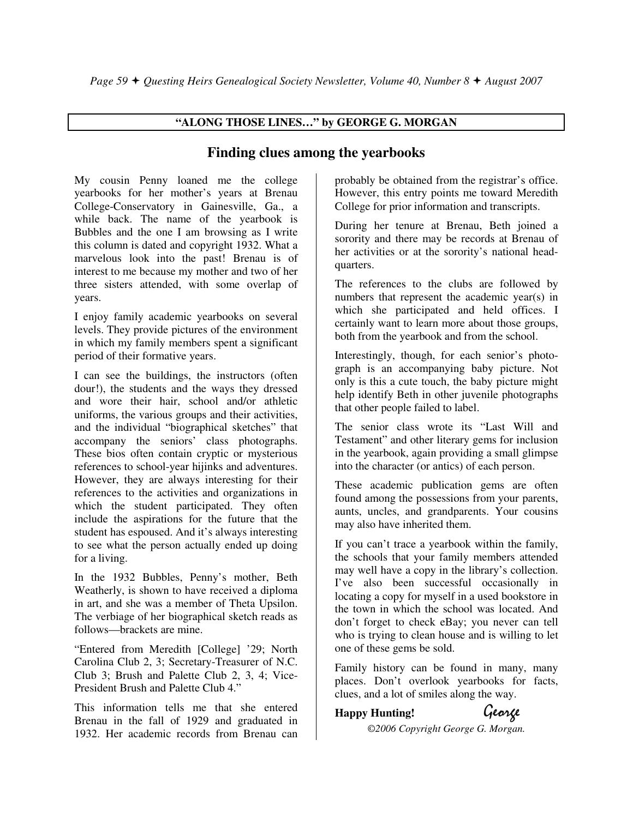### **"ALONG THOSE LINES…" by GEORGE G. MORGAN**

## **Finding clues among the yearbooks**

My cousin Penny loaned me the college yearbooks for her mother's years at Brenau College-Conservatory in Gainesville, Ga., a while back. The name of the yearbook is Bubbles and the one I am browsing as I write this column is dated and copyright 1932. What a marvelous look into the past! Brenau is of interest to me because my mother and two of her three sisters attended, with some overlap of years.

I enjoy family academic yearbooks on several levels. They provide pictures of the environment in which my family members spent a significant period of their formative years.

I can see the buildings, the instructors (often dour!), the students and the ways they dressed and wore their hair, school and/or athletic uniforms, the various groups and their activities, and the individual "biographical sketches" that accompany the seniors' class photographs. These bios often contain cryptic or mysterious references to school-year hijinks and adventures. However, they are always interesting for their references to the activities and organizations in which the student participated. They often include the aspirations for the future that the student has espoused. And it's always interesting to see what the person actually ended up doing for a living.

In the 1932 Bubbles, Penny's mother, Beth Weatherly, is shown to have received a diploma in art, and she was a member of Theta Upsilon. The verbiage of her biographical sketch reads as follows—brackets are mine.

"Entered from Meredith [College] '29; North Carolina Club 2, 3; Secretary-Treasurer of N.C. Club 3; Brush and Palette Club 2, 3, 4; Vice-President Brush and Palette Club 4"

This information tells me that she entered Brenau in the fall of 1929 and graduated in 1932. Her academic records from Brenau can

probably be obtained from the registrar's office. However, this entry points me toward Meredith College for prior information and transcripts.

During her tenure at Brenau, Beth joined a sorority and there may be records at Brenau of her activities or at the sorority's national headquarters.

The references to the clubs are followed by numbers that represent the academic year(s) in which she participated and held offices. I certainly want to learn more about those groups, both from the yearbook and from the school.

Interestingly, though, for each senior's photograph is an accompanying baby picture. Not only is this a cute touch, the baby picture might help identify Beth in other juvenile photographs that other people failed to label.

The senior class wrote its "Last Will and Testament" and other literary gems for inclusion in the yearbook, again providing a small glimpse into the character (or antics) of each person.

These academic publication gems are often found among the possessions from your parents, aunts, uncles, and grandparents. Your cousins may also have inherited them.

If you can't trace a yearbook within the family, the schools that your family members attended may well have a copy in the library's collection. I've also been successful occasionally in locating a copy for myself in a used bookstore in the town in which the school was located. And don't forget to check eBay; you never can tell who is trying to clean house and is willing to let one of these gems be sold.

Family history can be found in many, many places. Don't overlook yearbooks for facts, clues, and a lot of smiles along the way.

## **Happy Hunting!** George

*©2006 Copyright George G. Morgan.*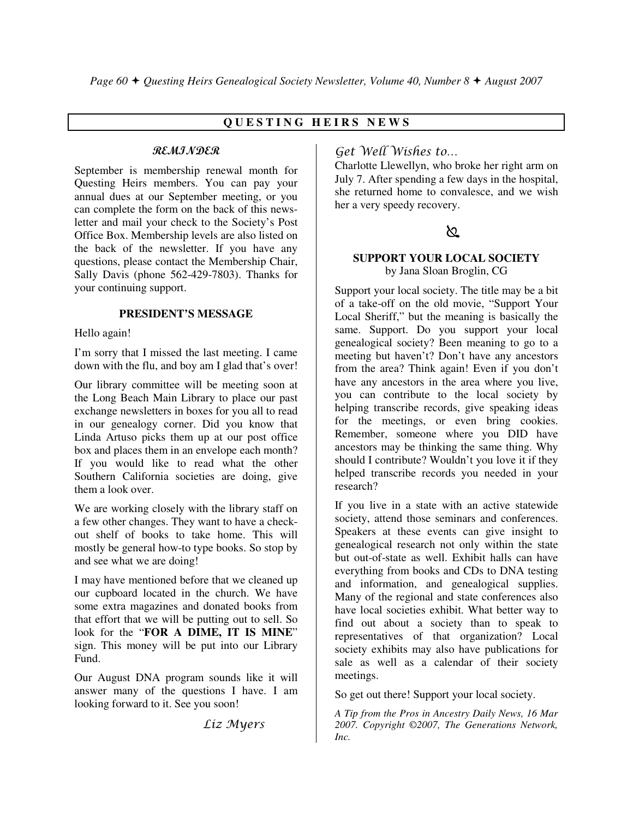### **Q U E S T I N G H E I R S N E W S**

#### REMINDER

September is membership renewal month for Questing Heirs members. You can pay your annual dues at our September meeting, or you can complete the form on the back of this newsletter and mail your check to the Society's Post Office Box. Membership levels are also listed on the back of the newsletter. If you have any questions, please contact the Membership Chair, Sally Davis (phone 562-429-7803). Thanks for your continuing support.

#### **PRESIDENT'S MESSAGE**

Hello again!

I'm sorry that I missed the last meeting. I came down with the flu, and boy am I glad that's over!

Our library committee will be meeting soon at the Long Beach Main Library to place our past exchange newsletters in boxes for you all to read in our genealogy corner. Did you know that Linda Artuso picks them up at our post office box and places them in an envelope each month? If you would like to read what the other Southern California societies are doing, give them a look over.

We are working closely with the library staff on a few other changes. They want to have a checkout shelf of books to take home. This will mostly be general how-to type books. So stop by and see what we are doing!

I may have mentioned before that we cleaned up our cupboard located in the church. We have some extra magazines and donated books from that effort that we will be putting out to sell. So look for the "**FOR A DIME, IT IS MINE**" sign. This money will be put into our Library Fund.

Our August DNA program sounds like it will answer many of the questions I have. I am looking forward to it. See you soon!

Liz Myers

## Get Well Wishes to…

Charlotte Llewellyn, who broke her right arm on July 7. After spending a few days in the hospital, she returned home to convalesce, and we wish her a very speedy recovery.

## $\mathbb{Z}$  and the set of  $\mathbb{Z}$

#### **SUPPORT YOUR LOCAL SOCIETY** by Jana Sloan Broglin, CG

Support your local society. The title may be a bit of a take-off on the old movie, "Support Your Local Sheriff," but the meaning is basically the same. Support. Do you support your local genealogical society? Been meaning to go to a meeting but haven't? Don't have any ancestors from the area? Think again! Even if you don't have any ancestors in the area where you live, you can contribute to the local society by helping transcribe records, give speaking ideas for the meetings, or even bring cookies. Remember, someone where you DID have ancestors may be thinking the same thing. Why should I contribute? Wouldn't you love it if they helped transcribe records you needed in your research?

If you live in a state with an active statewide society, attend those seminars and conferences. Speakers at these events can give insight to genealogical research not only within the state but out-of-state as well. Exhibit halls can have everything from books and CDs to DNA testing and information, and genealogical supplies. Many of the regional and state conferences also have local societies exhibit. What better way to find out about a society than to speak to representatives of that organization? Local society exhibits may also have publications for sale as well as a calendar of their society meetings.

So get out there! Support your local society.

*A Tip from the Pros in Ancestry Daily News, 16 Mar 2007. Copyright ©2007, The Generations Network, Inc.*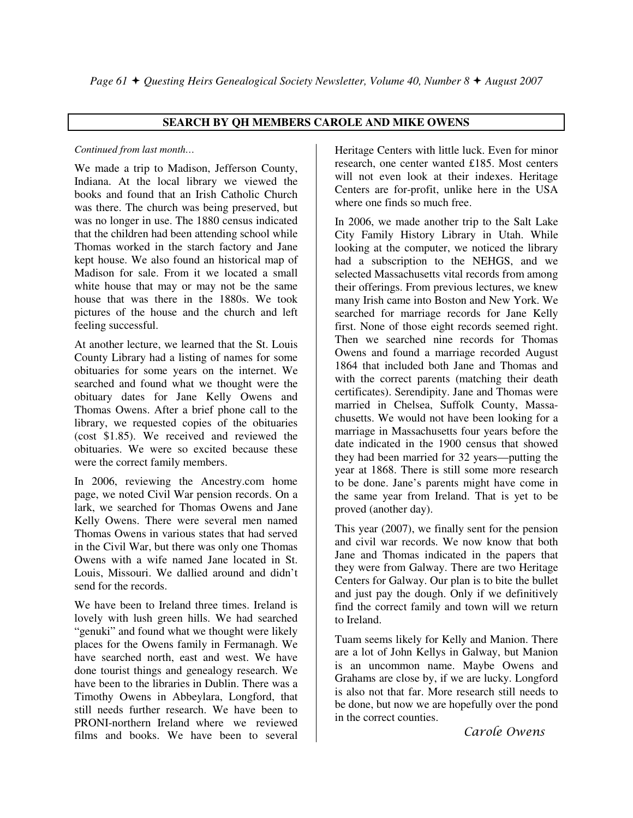#### **SEARCH BY QH MEMBERS CAROLE AND MIKE OWENS**

#### *Continued from last month…*

We made a trip to Madison, Jefferson County, Indiana. At the local library we viewed the books and found that an Irish Catholic Church was there. The church was being preserved, but was no longer in use. The 1880 census indicated that the children had been attending school while Thomas worked in the starch factory and Jane kept house. We also found an historical map of Madison for sale. From it we located a small white house that may or may not be the same house that was there in the 1880s. We took pictures of the house and the church and left feeling successful.

At another lecture, we learned that the St. Louis County Library had a listing of names for some obituaries for some years on the internet. We searched and found what we thought were the obituary dates for Jane Kelly Owens and Thomas Owens. After a brief phone call to the library, we requested copies of the obituaries (cost \$1.85). We received and reviewed the obituaries. We were so excited because these were the correct family members.

In 2006, reviewing the Ancestry.com home page, we noted Civil War pension records. On a lark, we searched for Thomas Owens and Jane Kelly Owens. There were several men named Thomas Owens in various states that had served in the Civil War, but there was only one Thomas Owens with a wife named Jane located in St. Louis, Missouri. We dallied around and didn't send for the records.

We have been to Ireland three times. Ireland is lovely with lush green hills. We had searched "genuki" and found what we thought were likely places for the Owens family in Fermanagh. We have searched north, east and west. We have done tourist things and genealogy research. We have been to the libraries in Dublin. There was a Timothy Owens in Abbeylara, Longford, that still needs further research. We have been to PRONI-northern Ireland where we reviewed films and books. We have been to several

Heritage Centers with little luck. Even for minor research, one center wanted £185. Most centers will not even look at their indexes. Heritage Centers are for-profit, unlike here in the USA where one finds so much free.

In 2006, we made another trip to the Salt Lake City Family History Library in Utah. While looking at the computer, we noticed the library had a subscription to the NEHGS, and we selected Massachusetts vital records from among their offerings. From previous lectures, we knew many Irish came into Boston and New York. We searched for marriage records for Jane Kelly first. None of those eight records seemed right. Then we searched nine records for Thomas Owens and found a marriage recorded August 1864 that included both Jane and Thomas and with the correct parents (matching their death certificates). Serendipity. Jane and Thomas were married in Chelsea, Suffolk County, Massachusetts. We would not have been looking for a marriage in Massachusetts four years before the date indicated in the 1900 census that showed they had been married for 32 years—putting the year at 1868. There is still some more research to be done. Jane's parents might have come in the same year from Ireland. That is yet to be proved (another day).

This year (2007), we finally sent for the pension and civil war records. We now know that both Jane and Thomas indicated in the papers that they were from Galway. There are two Heritage Centers for Galway. Our plan is to bite the bullet and just pay the dough. Only if we definitively find the correct family and town will we return to Ireland.

Tuam seems likely for Kelly and Manion. There are a lot of John Kellys in Galway, but Manion is an uncommon name. Maybe Owens and Grahams are close by, if we are lucky. Longford is also not that far. More research still needs to be done, but now we are hopefully over the pond in the correct counties.

Carole Owens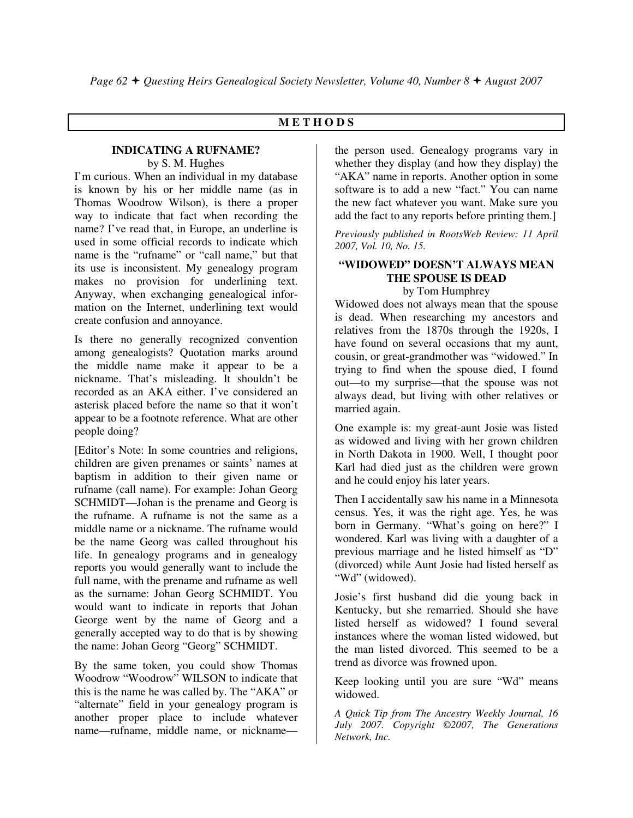#### **M E T H O D S**

#### **INDICATING A RUFNAME?**  by S. M. Hughes

I'm curious. When an individual in my database is known by his or her middle name (as in Thomas Woodrow Wilson), is there a proper way to indicate that fact when recording the name? I've read that, in Europe, an underline is used in some official records to indicate which name is the "rufname" or "call name," but that its use is inconsistent. My genealogy program makes no provision for underlining text. Anyway, when exchanging genealogical information on the Internet, underlining text would create confusion and annoyance.

Is there no generally recognized convention among genealogists? Quotation marks around the middle name make it appear to be a nickname. That's misleading. It shouldn't be recorded as an AKA either. I've considered an asterisk placed before the name so that it won't appear to be a footnote reference. What are other people doing?

[Editor's Note: In some countries and religions, children are given prenames or saints' names at baptism in addition to their given name or rufname (call name). For example: Johan Georg SCHMIDT—Johan is the prename and Georg is the rufname. A rufname is not the same as a middle name or a nickname. The rufname would be the name Georg was called throughout his life. In genealogy programs and in genealogy reports you would generally want to include the full name, with the prename and rufname as well as the surname: Johan Georg SCHMIDT. You would want to indicate in reports that Johan George went by the name of Georg and a generally accepted way to do that is by showing the name: Johan Georg "Georg" SCHMIDT.

By the same token, you could show Thomas Woodrow "Woodrow" WILSON to indicate that this is the name he was called by. The "AKA" or "alternate" field in your genealogy program is another proper place to include whatever name—rufname, middle name, or nicknamethe person used. Genealogy programs vary in whether they display (and how they display) the "AKA" name in reports. Another option in some software is to add a new "fact." You can name the new fact whatever you want. Make sure you add the fact to any reports before printing them.]

*Previously published in RootsWeb Review: 11 April 2007, Vol. 10, No. 15.* 

#### **"WIDOWED" DOESN'T ALWAYS MEAN THE SPOUSE IS DEAD**  by Tom Humphrey

Widowed does not always mean that the spouse is dead. When researching my ancestors and relatives from the 1870s through the 1920s, I have found on several occasions that my aunt, cousin, or great-grandmother was "widowed." In trying to find when the spouse died, I found out—to my surprise—that the spouse was not always dead, but living with other relatives or married again.

One example is: my great-aunt Josie was listed as widowed and living with her grown children in North Dakota in 1900. Well, I thought poor Karl had died just as the children were grown and he could enjoy his later years.

Then I accidentally saw his name in a Minnesota census. Yes, it was the right age. Yes, he was born in Germany. "What's going on here?" I wondered. Karl was living with a daughter of a previous marriage and he listed himself as "D" (divorced) while Aunt Josie had listed herself as "Wd" (widowed).

Josie's first husband did die young back in Kentucky, but she remarried. Should she have listed herself as widowed? I found several instances where the woman listed widowed, but the man listed divorced. This seemed to be a trend as divorce was frowned upon.

Keep looking until you are sure "Wd" means widowed.

*A Quick Tip from The Ancestry Weekly Journal, 16 July 2007. Copyright ©2007, The Generations Network, Inc.*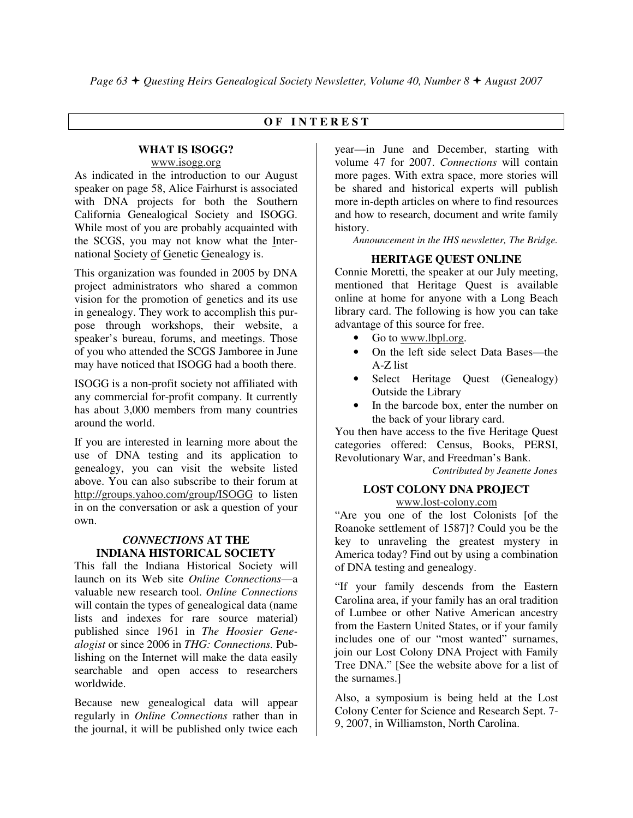#### **O F I N T E R E S T**

#### **WHAT IS ISOGG?**  www.isogg.org

As indicated in the introduction to our August speaker on page 58, Alice Fairhurst is associated with DNA projects for both the Southern California Genealogical Society and ISOGG. While most of you are probably acquainted with the SCGS, you may not know what the International Society of Genetic Genealogy is.

This organization was founded in 2005 by DNA project administrators who shared a common vision for the promotion of genetics and its use in genealogy. They work to accomplish this purpose through workshops, their website, a speaker's bureau, forums, and meetings. Those of you who attended the SCGS Jamboree in June may have noticed that ISOGG had a booth there.

ISOGG is a non-profit society not affiliated with any commercial for-profit company. It currently has about 3,000 members from many countries around the world.

If you are interested in learning more about the use of DNA testing and its application to genealogy, you can visit the website listed above. You can also subscribe to their forum at http://groups.yahoo.com/group/ISOGG to listen in on the conversation or ask a question of your own.

#### *CONNECTIONS* **AT THE INDIANA HISTORICAL SOCIETY**

This fall the Indiana Historical Society will launch on its Web site *Online Connections*—a valuable new research tool. *Online Connections* will contain the types of genealogical data (name lists and indexes for rare source material) published since 1961 in *The Hoosier Genealogist* or since 2006 in *THG: Connections.* Publishing on the Internet will make the data easily searchable and open access to researchers worldwide.

Because new genealogical data will appear regularly in *Online Connections* rather than in the journal, it will be published only twice each

year—in June and December, starting with volume 47 for 2007. *Connections* will contain more pages. With extra space, more stories will be shared and historical experts will publish more in-depth articles on where to find resources and how to research, document and write family history.

 *Announcement in the IHS newsletter, The Bridge.*

#### **HERITAGE QUEST ONLINE**

Connie Moretti, the speaker at our July meeting, mentioned that Heritage Quest is available online at home for anyone with a Long Beach library card. The following is how you can take advantage of this source for free.

- Go to www.lbpl.org.
- On the left side select Data Bases—the A-Z list
- Select Heritage Quest (Genealogy) Outside the Library
- In the barcode box, enter the number on the back of your library card.

You then have access to the five Heritage Quest categories offered: Census, Books, PERSI, Revolutionary War, and Freedman's Bank.

*Contributed by Jeanette Jones* 

#### **LOST COLONY DNA PROJECT** www.lost-colony.com

"Are you one of the lost Colonists [of the Roanoke settlement of 1587]? Could you be the key to unraveling the greatest mystery in America today? Find out by using a combination of DNA testing and genealogy.

"If your family descends from the Eastern Carolina area, if your family has an oral tradition of Lumbee or other Native American ancestry from the Eastern United States, or if your family includes one of our "most wanted" surnames, join our Lost Colony DNA Project with Family Tree DNA." [See the website above for a list of the surnames.]

Also, a symposium is being held at the Lost Colony Center for Science and Research Sept. 7- 9, 2007, in Williamston, North Carolina.